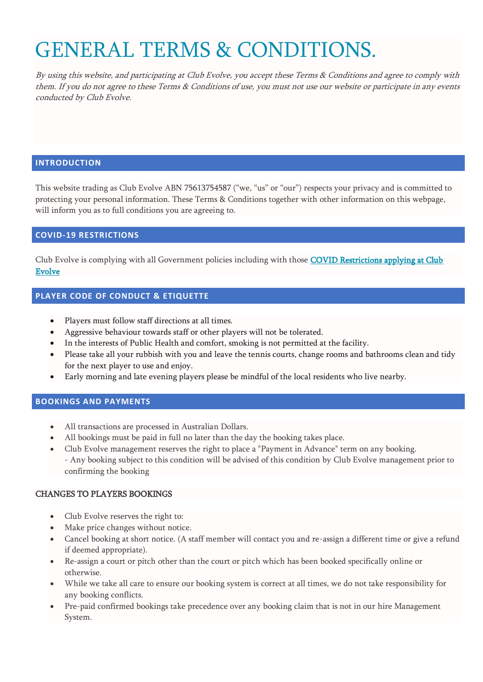# GENERAL TERMS & CONDITIONS.

By using this website, and participating at Club Evolve, you accept these Terms & Conditions and agree to comply with them. If you do not agree to these Terms & Conditions of use, you must not use our website or participate in any events conducted by Club Evolve.

#### **INTRODUCTION**

This website trading as Club Evolve ABN 75613754587 ("we, "us" or "our") respects your privacy and is committed to protecting your personal information. These Terms & Conditions together with other information on this webpage, will inform you as to full conditions you are agreeing to.

# **COVID-19 RESTRICTIONS**

Club Evolve is complying with all Government policies including with those COVID Restrictions applying at Club [Evolve](https://www.clubevolve.com.au/faq) 

# **PLAYER CODE OF CONDUCT & ETIQUETTE**

- Players must follow staff directions at all times.
- Aggressive behaviour towards staff or other players will not be tolerated.
- In the interests of Public Health and comfort, smoking is not permitted at the facility.
- Please take all your rubbish with you and leave the tennis courts, change rooms and bathrooms clean and tidy for the next player to use and enjoy.
- Early morning and late evening players please be mindful of the local residents who live nearby.

#### **BOOKINGS AND PAYMENTS**

- All transactions are processed in Australian Dollars.
- All bookings must be paid in full no later than the day the booking takes place.
- Club Evolve management reserves the right to place a "Payment in Advance" term on any booking. - Any booking subject to this condition will be advised of this condition by Club Evolve management prior to confirming the booking

# CHANGES TO PLAYERS BOOKINGS

- Club Evolve reserves the right to:
- Make price changes without notice.
- Cancel booking at short notice. (A staff member will contact you and re-assign a different time or give a refund if deemed appropriate).
- Re-assign a court or pitch other than the court or pitch which has been booked specifically online or otherwise.
- While we take all care to ensure our booking system is correct at all times, we do not take responsibility for any booking conflicts.
- Pre-paid confirmed bookings take precedence over any booking claim that is not in our hire Management System.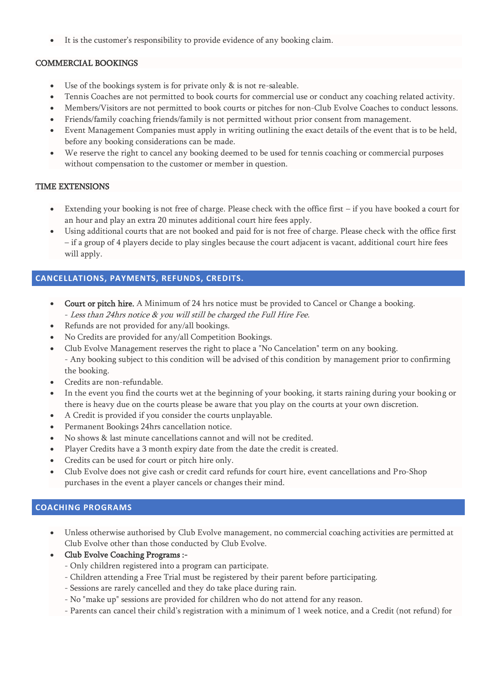It is the customer's responsibility to provide evidence of any booking claim.

#### COMMERCIAL BOOKINGS

- Use of the bookings system is for private only & is not re-saleable.
- Tennis Coaches are not permitted to book courts for commercial use or conduct any coaching related activity.
- Members/Visitors are not permitted to book courts or pitches for non-Club Evolve Coaches to conduct lessons.
- Friends/family coaching friends/family is not permitted without prior consent from management.
- Event Management Companies must apply in writing outlining the exact details of the event that is to be held, before any booking considerations can be made.
- We reserve the right to cancel any booking deemed to be used for tennis coaching or commercial purposes without compensation to the customer or member in question.

# TIME EXTENSIONS

- Extending your booking is not free of charge. Please check with the office first if you have booked a court for an hour and play an extra 20 minutes additional court hire fees apply.
- Using additional courts that are not booked and paid for is not free of charge. Please check with the office first – if a group of 4 players decide to play singles because the court adjacent is vacant, additional court hire fees will apply.

# **CANCELLATIONS, PAYMENTS, REFUNDS, CREDITS.**

- Court or pitch hire. A Minimum of 24 hrs notice must be provided to Cancel or Change a booking. - Less than 24hrs notice & you will still be charged the Full Hire Fee.
- Refunds are not provided for any/all bookings.
- No Credits are provided for any/all Competition Bookings.
- Club Evolve Management reserves the right to place a "No Cancelation" term on any booking. - Any booking subject to this condition will be advised of this condition by management prior to confirming the booking.
- Credits are non-refundable.
- In the event you find the courts wet at the beginning of your booking, it starts raining during your booking or there is heavy due on the courts please be aware that you play on the courts at your own discretion.
- A Credit is provided if you consider the courts unplayable.
- Permanent Bookings 24hrs cancellation notice.
- No shows & last minute cancellations cannot and will not be credited.
- Player Credits have a 3 month expiry date from the date the credit is created.
- Credits can be used for court or pitch hire only.
- Club Evolve does not give cash or credit card refunds for court hire, event cancellations and Pro-Shop purchases in the event a player cancels or changes their mind.

# **COACHING PROGRAMS**

- Unless otherwise authorised by Club Evolve management, no commercial coaching activities are permitted at Club Evolve other than those conducted by Club Evolve.
- Club Evolve Coaching Programs :-
	- Only children registered into a program can participate.
	- Children attending a Free Trial must be registered by their parent before participating.
	- Sessions are rarely cancelled and they do take place during rain.
	- No "make up" sessions are provided for children who do not attend for any reason.
	- Parents can cancel their child's registration with a minimum of 1 week notice, and a Credit (not refund) for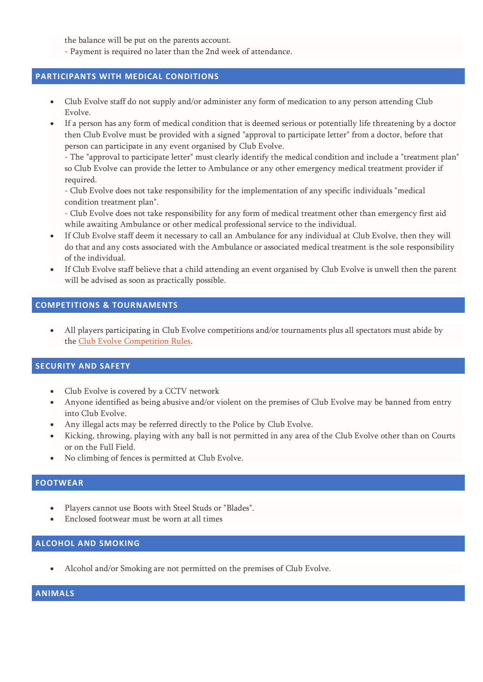the balance will be put on the parents account.

- Payment is required no later than the 2nd week of attendance.

#### **PARTICIPANTS WITH MEDICAL CONDITIONS**

- Club Evolve staff do not supply and/or administer any form of medication to any person attending Club Evolve.
- If a person has any form of medical condition that is deemed serious or potentially life threatening by a doctor then Club Evolve must be provided with a signed "approval to participate letter" from a doctor, before that person can participate in any event organised by Club Evolve.

- The "approval to participate letter" must clearly identify the medical condition and include a "treatment plan" so Club Evolve can provide the letter to Ambulance or any other emergency medical treatment provider if required.

- Club Evolve does not take responsibility for the implementation of any specific individuals "medical condition treatment plan".

- Club Evolve does not take responsibility for any form of medical treatment other than emergency first aid while awaiting Ambulance or other medical professional service to the individual.

- If Club Evolve staff deem it necessary to call an Ambulance for any individual at Club Evolve, then they will do that and any costs associated with the Ambulance or associated medical treatment is the sole responsibility of the individual.
- If Club Evolve staff believe that a child attending an event organised by Club Evolve is unwell then the parent will be advised as soon as practically possible.

#### **COMPETITIONS & TOURNAMENTS**

• All players participating in Club Evolve competitions and/or tournaments plus all spectators must abide by the Club Evolve [Competition Rules.](http://www.clubevolve.com.au/)

#### **SECURITY AND SAFETY**

- Club Evolve is covered by a CCTV network
- Anyone identified as being abusive and/or violent on the premises of Club Evolve may be banned from entry into Club Evolve.
- Any illegal acts may be referred directly to the Police by Club Evolve.
- Kicking, throwing, playing with any ball is not permitted in any area of the Club Evolve other than on Courts or on the Full Field.
- No climbing of fences is permitted at Club Evolve.

# **FOOTWEAR**

- Players cannot use Boots with Steel Studs or "Blades".
- Enclosed footwear must be worn at all times

#### **ALCOHOL AND SMOKING**

• Alcohol and/or Smoking are not permitted on the premises of Club Evolve.

#### **ANIMALS**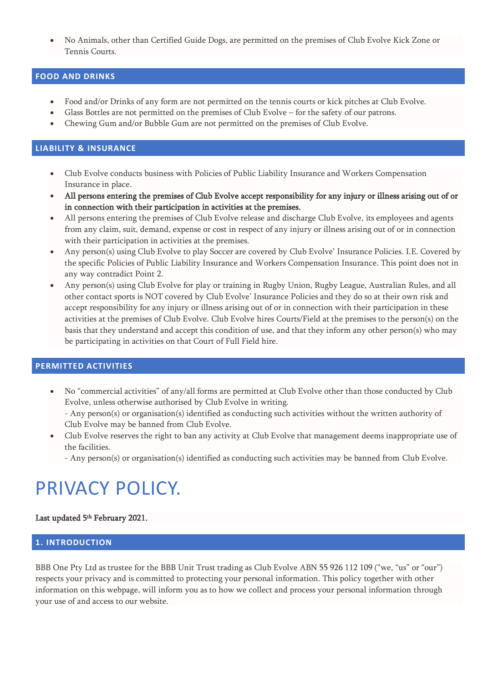• No Animals, other than Certified Guide Dogs, are permitted on the premises of Club Evolve Kick Zone or Tennis Courts.

# **FOOD AND DRINKS**

- Food and/or Drinks of any form are not permitted on the tennis courts or kick pitches at Club Evolve.
- Glass Bottles are not permitted on the premises of Club Evolve for the safety of our patrons.
- Chewing Gum and/or Bubble Gum are not permitted on the premises of Club Evolve.

#### **LIABILITY & INSURANCE**

- Club Evolve conducts business with Policies of Public Liability Insurance and Workers Compensation Insurance in place.
- All persons entering the premises of Club Evolve accept responsibility for any injury or illness arising out of or in connection with their participation in activities at the premises.
- All persons entering the premises of Club Evolve release and discharge Club Evolve, its employees and agents from any claim, suit, demand, expense or cost in respect of any injury or illness arising out of or in connection with their participation in activities at the premises.
- Any person(s) using Club Evolve to play Soccer are covered by Club Evolve' Insurance Policies. I.E. Covered by the specific Policies of Public Liability Insurance and Workers Compensation Insurance. This point does not in any way contradict Point 2.
- Any person(s) using Club Evolve for play or training in Rugby Union, Rugby League, Australian Rules, and all other contact sports is NOT covered by Club Evolve' Insurance Policies and they do so at their own risk and accept responsibility for any injury or illness arising out of or in connection with their participation in these activities at the premises of Club Evolve. Club Evolve hires Courts/Field at the premises to the person(s) on the basis that they understand and accept this condition of use, and that they inform any other person(s) who may be participating in activities on that Court of Full Field hire.

# **PERMITTED ACTIVITIES**

• No "commercial activities" of any/all forms are permitted at Club Evolve other than those conducted by Club Evolve, unless otherwise authorised by Club Evolve in writing.

- Any person(s) or organisation(s) identified as conducting such activities without the written authority of Club Evolve may be banned from Club Evolve.

- Club Evolve reserves the right to ban any activity at Club Evolve that management deems inappropriate use of the facilities.
	- Any person(s) or organisation(s) identified as conducting such activities may be banned from Club Evolve.

# PRIVACY POLICY.

# Last updated 5<sup>th</sup> February 2021.

# **1. INTRODUCTION**

BBB One Pty Ltd as trustee for the BBB Unit Trust trading as Club Evolve ABN 55 926 112 109 ("we, "us" or "our") respects your privacy and is committed to protecting your personal information. This policy together with other information on this webpage, will inform you as to how we collect and process your personal information through your use of and access to our website.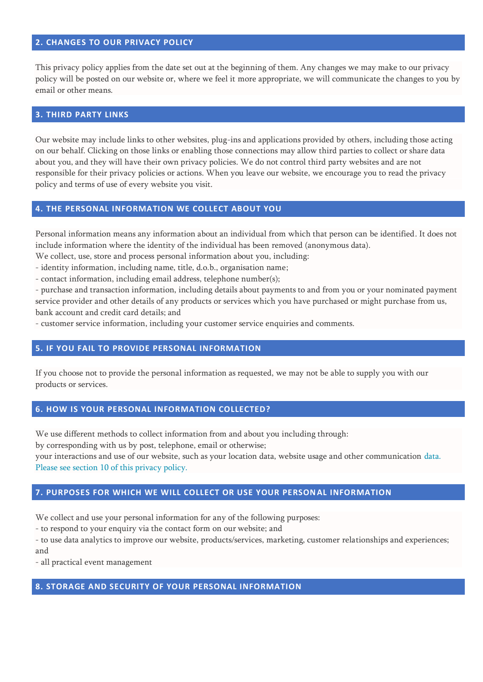#### **2. CHANGES TO OUR PRIVACY POLICY**

This privacy policy applies from the date set out at the beginning of them. Any changes we may make to our privacy policy will be posted on our website or, where we feel it more appropriate, we will communicate the changes to you by email or other means.

#### **3. THIRD PARTY LINKS**

Our website may include links to other websites, plug-ins and applications provided by others, including those acting on our behalf. Clicking on those links or enabling those connections may allow third parties to collect or share data about you, and they will have their own privacy policies. We do not control third party websites and are not responsible for their privacy policies or actions. When you leave our website, we encourage you to read the privacy policy and terms of use of every website you visit.

#### **4. THE PERSONAL INFORMATION WE COLLECT ABOUT YOU**

Personal information means any information about an individual from which that person can be identified. It does not include information where the identity of the individual has been removed (anonymous data).

We collect, use, store and process personal information about you, including:

- identity information, including name, title, d.o.b., organisation name;

- contact information, including email address, telephone number(s);

- purchase and transaction information, including details about payments to and from you or your nominated payment service provider and other details of any products or services which you have purchased or might purchase from us, bank account and credit card details; and

- customer service information, including your customer service enquiries and comments.

#### **5. IF YOU FAIL TO PROVIDE PERSONAL INFORMATION**

If you choose not to provide the personal information as requested, we may not be able to supply you with our products or services.

#### **6. HOW IS YOUR PERSONAL INFORMATION COLLECTED?**

We use different methods to collect information from and about you including through:

by corresponding with us by post, telephone, email or otherwise;

your interactions and use of our website, such as your location data, website usage and other communication data. Please see section 10 of this privacy policy.

# **7. PURPOSES FOR WHICH WE WILL COLLECT OR USE YOUR PERSONAL INFORMATION**

We collect and use your personal information for any of the following purposes:

- to respond to your enquiry via the contact form on our website; and

- to use data analytics to improve our website, products/services, marketing, customer relationships and experiences; and

- all practical event management

#### **8. STORAGE AND SECURITY OF YOUR PERSONAL INFORMATION**